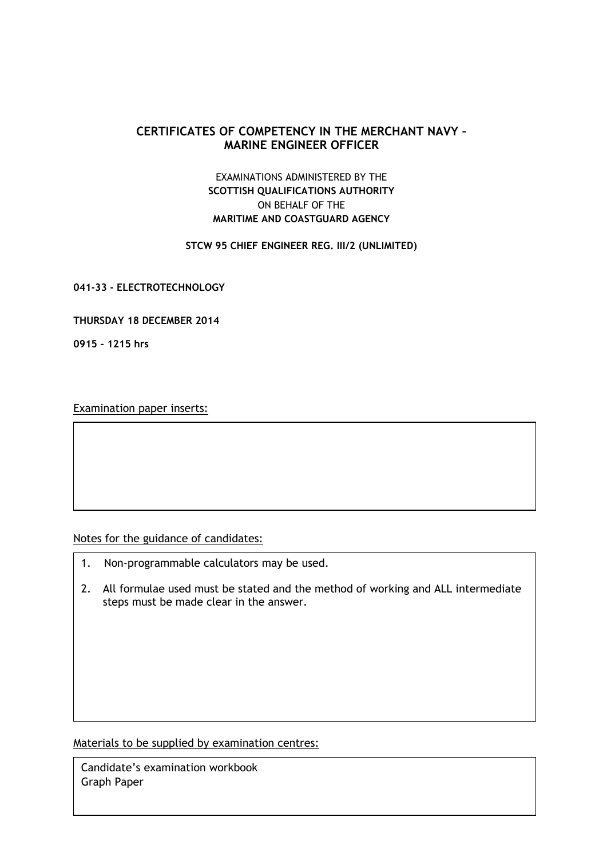# **CERTIFICATES OF COMPETENCY IN THE MERCHANT NAVY – MARINE ENGINEER OFFICER**

# EXAMINATIONS ADMINISTERED BY THE **SCOTTISH QUALIFICATIONS AUTHORITY** ON BEHALF OF THE **MARITIME AND COASTGUARD AGENCY**

### **STCW 95 CHIEF ENGINEER REG. III/2 (UNLIMITED)**

**041-33 - ELECTROTECHNOLOGY**

#### **THURSDAY 18 DECEMBER 2014**

**0915 - 1215 hrs**

Examination paper inserts:

Notes for the guidance of candidates:

- 1. Non-programmable calculators may be used.
- 2. All formulae used must be stated and the method of working and ALL intermediate steps must be made clear in the answer.

Materials to be supplied by examination centres:

Candidate's examination workbook Graph Paper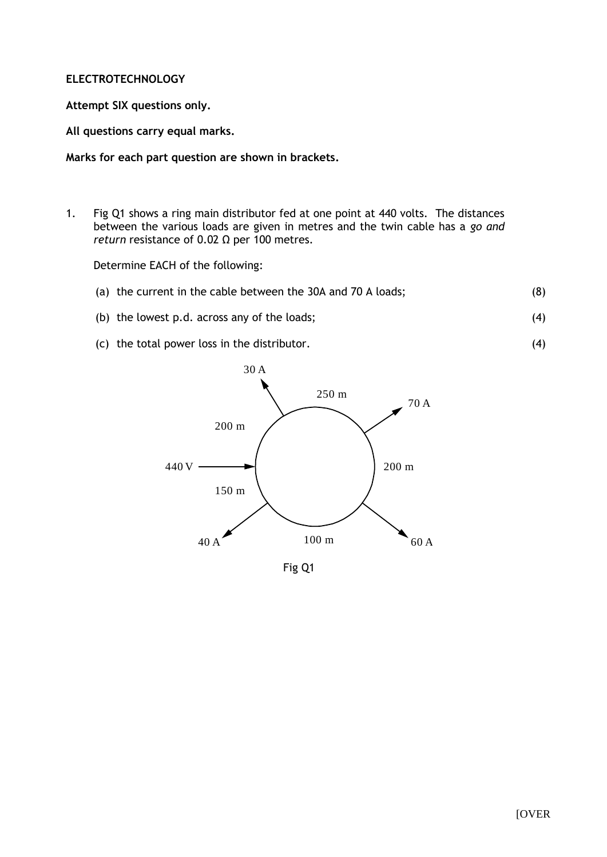### **ELECTROTECHNOLOGY**

**Attempt SIX questions only.**

**All questions carry equal marks.**

**Marks for each part question are shown in brackets.**

1. Fig Q1 shows a ring main distributor fed at one point at 440 volts. The distances between the various loads are given in metres and the twin cable has a *go and return* resistance of 0.02 Ω per 100 metres.

Determine EACH of the following:

- (a) the current in the cable between the 30A and 70 A loads; (8)
- (b) the lowest p.d. across any of the loads; (4)
- (c) the total power loss in the distributor.



Fig Q1

(4)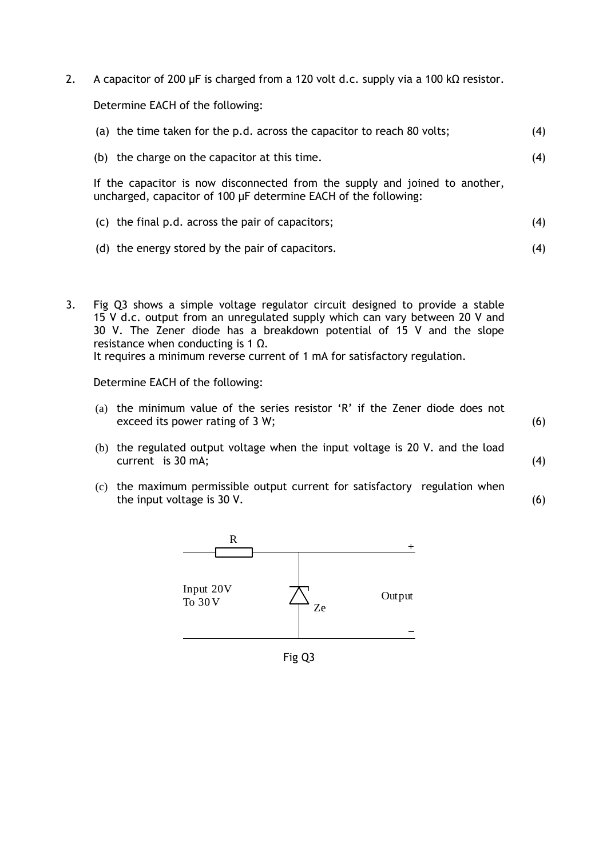2. A capacitor of 200 µF is charged from a 120 volt d.c. supply via a 100 kΩ resistor.

Determine EACH of the following:

| (a) the time taken for the p.d. across the capacitor to reach 80 volts;                                                                        | (4) |
|------------------------------------------------------------------------------------------------------------------------------------------------|-----|
| (b) the charge on the capacitor at this time.                                                                                                  | (4) |
| If the capacitor is now disconnected from the supply and joined to another,<br>uncharged, capacitor of 100 µF determine EACH of the following: |     |
| $(c)$ the final p.d. across the pair of capacitors;                                                                                            | (4) |
| (d) the energy stored by the pair of capacitors.                                                                                               | (4) |
|                                                                                                                                                |     |

3. Fig Q3 shows a simple voltage regulator circuit designed to provide a stable 15 V d.c. output from an unregulated supply which can vary between 20 V and 30 V. The Zener diode has a breakdown potential of 15 V and the slope resistance when conducting is 1  $Ω$ . It requires a minimum reverse current of 1 mA for satisfactory regulation.

Determine EACH of the following:

- (a) the minimum value of the series resistor 'R' if the Zener diode does not exceed its power rating of 3 W;
- (b) the regulated output voltage when the input voltage is 20 V. and the load current is 30 mA;

(6)

(4)

(c) the maximum permissible output current for satisfactory regulation when the input voltage is 30 V. (6)



Fig Q3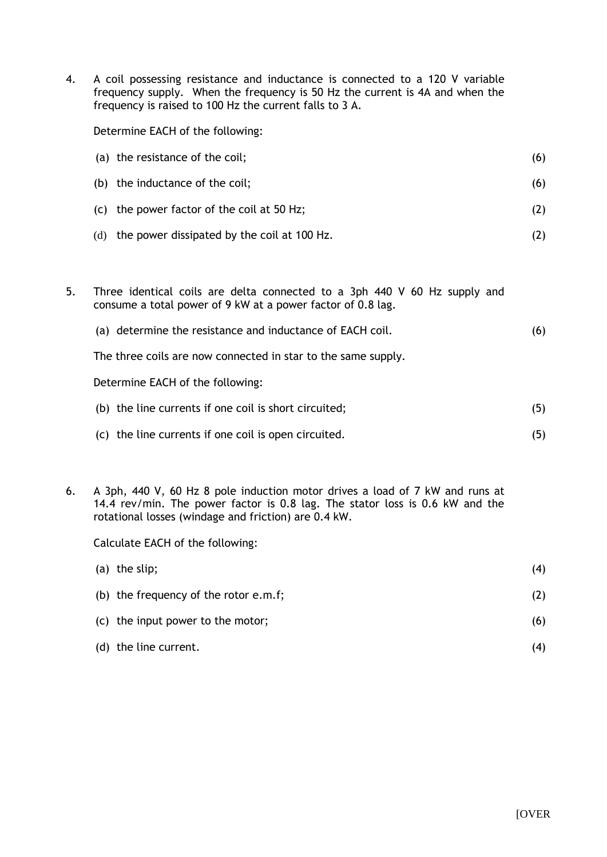4. A coil possessing resistance and inductance is connected to a 120 V variable frequency supply. When the frequency is 50 Hz the current is 4A and when the frequency is raised to 100 Hz the current falls to 3 A.

Determine EACH of the following:

| (a) the resistance of the coil;                 | (6) |
|-------------------------------------------------|-----|
| (b) the inductance of the coil;                 | (6) |
| (c) the power factor of the coil at 50 Hz;      | (Z) |
| (d) the power dissipated by the coil at 100 Hz. |     |

- 5. Three identical coils are delta connected to a 3ph 440 V 60 Hz supply and consume a total power of 9 kW at a power factor of 0.8 lag.
	- (a) determine the resistance and inductance of EACH coil. (6)

The three coils are now connected in star to the same supply.

Determine EACH of the following:

| (b) the line currents if one coil is short circuited; |     |
|-------------------------------------------------------|-----|
| (c) the line currents if one coil is open circuited.  | (5) |

6. A 3ph, 440 V, 60 Hz 8 pole induction motor drives a load of 7 kW and runs at 14.4 rev/min. The power factor is 0.8 lag. The stator loss is 0.6 kW and the rotational losses (windage and friction) are 0.4 kW.

Calculate EACH of the following:

| $(a)$ the slip;                         | (4) |
|-----------------------------------------|-----|
| (b) the frequency of the rotor $e.m.f;$ | (2) |
| (c) the input power to the motor;       | (6) |
| (d) the line current.                   |     |